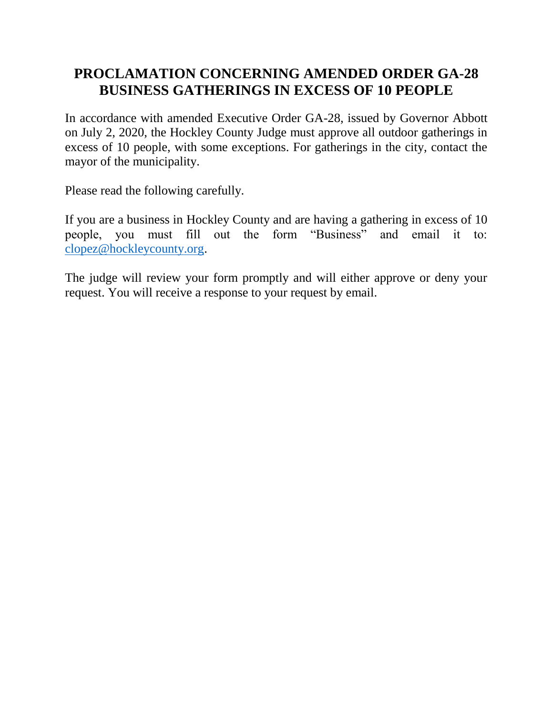## **PROCLAMATION CONCERNING AMENDED ORDER GA-28 BUSINESS GATHERINGS IN EXCESS OF 10 PEOPLE**

In accordance with amended Executive Order GA-28, issued by Governor Abbott on July 2, 2020, the Hockley County Judge must approve all outdoor gatherings in excess of 10 people, with some exceptions. For gatherings in the city, contact the mayor of the municipality.

Please read the following carefully.

If you are a business in Hockley County and are having a gathering in excess of 10 people, you must fill out the form "Business" and email it to: [clopez@hockleycounty.org.](mailto:clopez@hockleycounty.org)

The judge will review your form promptly and will either approve or deny your request. You will receive a response to your request by email.